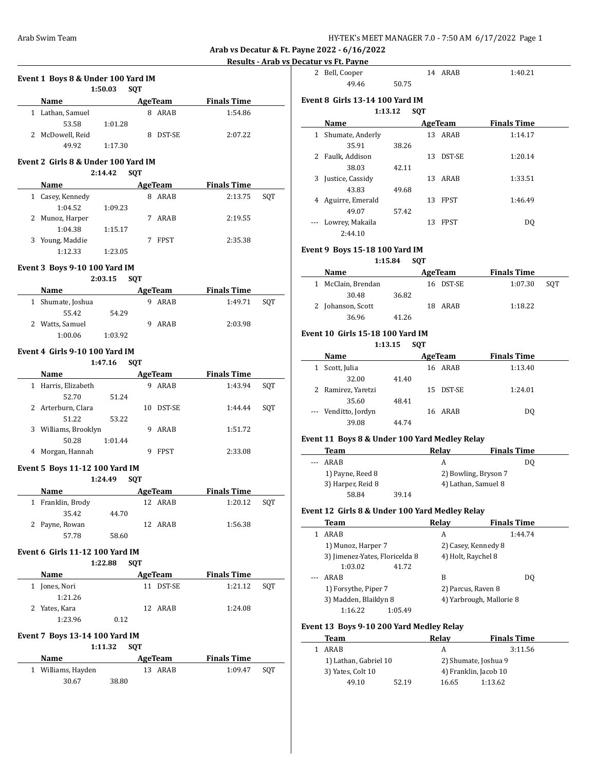**Results - Arab vs Decatur vs Ft. Payne**

|                                     |         |            |                | <u><b>Results - Arab vs Deca</b></u> |     |
|-------------------------------------|---------|------------|----------------|--------------------------------------|-----|
| Event 1 Boys 8 & Under 100 Yard IM  |         |            |                |                                      |     |
|                                     | 1:50.03 | <b>SQT</b> |                |                                      |     |
| Name                                |         |            |                | AgeTeam Finals Time                  |     |
| 1 Lathan, Samuel                    |         |            | 8 ARAB         | 1:54.86                              |     |
| 53.58                               | 1:01.28 |            |                |                                      |     |
| 2 McDowell, Reid                    |         |            | 8 DST-SE       | 2:07.22                              |     |
| 49.92                               | 1:17.30 |            |                |                                      |     |
|                                     |         |            |                |                                      |     |
| Event 2 Girls 8 & Under 100 Yard IM |         |            |                |                                      |     |
|                                     | 2:14.42 | <b>SQT</b> |                |                                      |     |
|                                     |         |            |                | Name AgeTeam Finals Time             |     |
| 1 Casey, Kennedy                    |         |            | 8 ARAB         | 2:13.75                              | SQT |
| 1:04.52                             | 1:09.23 |            |                |                                      |     |
| 2 Munoz, Harper                     |         |            | 7 ARAB         | 2:19.55                              |     |
| 1:04.38                             | 1:15.17 |            |                |                                      |     |
| 3 Young, Maddie                     |         |            | 7 FPST         | 2:35.38                              |     |
| 1:12.33                             |         |            |                |                                      |     |
|                                     | 1:23.05 |            |                |                                      |     |
| Event 3 Boys 9-10 100 Yard IM       |         |            |                |                                      |     |
|                                     | 2:03.15 | <b>SQT</b> |                |                                      |     |
| Name AgeTeam                        |         |            |                | <b>Finals Time</b>                   |     |
| 1 Shumate, Joshua                   |         |            | 9 ARAB         | 1:49.71                              |     |
| 55.42                               |         |            |                |                                      | SQT |
|                                     | 54.29   |            |                |                                      |     |
| 2 Watts, Samuel                     |         |            | 9 ARAB         | 2:03.98                              |     |
| 1:00.06                             | 1:03.92 |            |                |                                      |     |
| Event 4 Girls 9-10 100 Yard IM      |         |            |                |                                      |     |
|                                     | 1:47.16 | <b>SQT</b> |                |                                      |     |
|                                     |         |            |                | Name AgeTeam Finals Time             |     |
|                                     |         |            |                |                                      |     |
| 1 Harris, Elizabeth                 |         |            | 9 ARAB         | 1:43.94                              | SQT |
| 52.70                               | 51.24   |            |                |                                      |     |
| 2 Arterburn, Clara                  |         |            | 10 DST-SE      | 1:44.44                              | SQT |
| 51.22                               | 53.22   |            |                |                                      |     |
| 3 Williams, Brooklyn                |         |            | 9 ARAB         | 1:51.72                              |     |
| 50.28                               | 1:01.44 |            |                |                                      |     |
| 4 Morgan, Hannah                    |         |            | 9 FPST         | 2:33.08                              |     |
|                                     |         |            |                |                                      |     |
| Event 5 Boys 11-12 100 Yard IM      |         |            |                |                                      |     |
|                                     | 1:24.49 | <b>SQT</b> |                |                                      |     |
| Name                                |         |            | <b>AgeTeam</b> | <b>Finals Time</b>                   |     |
| 1 Franklin, Brody                   |         |            | 12 ARAB        | 1:20.12                              | SQT |
| 35.42                               | 44.70   |            |                |                                      |     |
| 2 Payne, Rowan                      |         |            | 12 ARAB        | 1:56.38                              |     |
| 57.78                               | 58.60   |            |                |                                      |     |
|                                     |         |            |                |                                      |     |
| Event 6 Girls 11-12 100 Yard IM     |         |            |                |                                      |     |
|                                     | 1:22.88 | <b>SOT</b> |                |                                      |     |
| Name                                |         |            | AgeTeam        | <b>Finals Time</b>                   |     |
|                                     |         |            |                |                                      | SQT |
| 1 Jones, Nori                       |         |            | 11 DST-SE      | 1:21.12                              |     |
| 1:21.26                             |         |            |                |                                      |     |
| 2 Yates, Kara                       |         |            | 12 ARAB        | 1:24.08                              |     |
| 1:23.96                             | 0.12    |            |                |                                      |     |
|                                     |         |            |                |                                      |     |
| Event 7 Boys 13-14 100 Yard IM      |         |            |                |                                      |     |
|                                     | 1:11.32 | SQT        |                |                                      |     |
| <b>Name</b>                         |         |            | AgeTeam        | <b>Finals Time</b>                   |     |
|                                     |         |            |                |                                      |     |
| 1 Williams, Hayden<br>30.67         | 38.80   |            | 13 ARAB        | 1:09.47                              | SQT |

|     | 2 Bell, Cooper                                 |         |            | 14 ARAB            | 1:40.21                                     |     |
|-----|------------------------------------------------|---------|------------|--------------------|---------------------------------------------|-----|
|     | 49.46                                          | 50.75   |            |                    |                                             |     |
|     | Event 8 Girls 13-14 100 Yard IM<br>1:13.12     |         | <b>SQT</b> |                    |                                             |     |
|     | Name                                           |         |            | AgeTeam            | <b>Finals Time</b>                          |     |
| 1   | Shumate, Anderly                               |         |            | 13 ARAB            | 1:14.17                                     |     |
|     | 35.91                                          | 38.26   |            |                    |                                             |     |
|     | 2 Faulk, Addison                               |         |            | 13 DST-SE          | 1:20.14                                     |     |
|     | 38.03                                          | 42.11   |            |                    |                                             |     |
| 3   | Justice, Cassidy                               |         |            | 13 ARAB            | 1:33.51                                     |     |
|     | 43.83                                          | 49.68   |            |                    |                                             |     |
| 4   | Aguirre, Emerald                               |         |            | 13 FPST            | 1:46.49                                     |     |
|     | 49.07                                          | 57.42   |            |                    |                                             |     |
|     | Lowrey, Makaila                                |         |            | 13 FPST            | DQ                                          |     |
|     | 2:44.10                                        |         |            |                    |                                             |     |
|     |                                                |         |            |                    |                                             |     |
|     | Event 9  Boys 15-18 100 Yard IM<br>1:15.84     |         | <b>SOT</b> |                    |                                             |     |
|     | Name                                           |         |            | <b>AgeTeam</b>     | <b>Finals Time</b>                          |     |
|     | 1 McClain, Brendan                             |         |            | 16 DST-SE          | 1:07.30                                     | SQT |
|     | 30.48                                          | 36.82   |            |                    |                                             |     |
| 2   | Johanson, Scott                                |         |            | 18 ARAB            | 1:18.22                                     |     |
|     | 36.96                                          | 41.26   |            |                    |                                             |     |
|     |                                                |         |            |                    |                                             |     |
|     | Event 10 Girls 15-18 100 Yard IM               |         |            |                    |                                             |     |
|     | 1:13.15                                        |         | <b>SQT</b> |                    |                                             |     |
|     | Name                                           |         |            | AgeTeam            | <b>Finals Time</b>                          |     |
|     | 1 Scott, Julia                                 |         |            | 16 ARAB            | 1:13.40                                     |     |
|     | 32.00                                          | 41.40   |            |                    |                                             |     |
| 2   | Ramirez, Yaretzi                               |         |            | 15 DST-SE          | 1:24.01                                     |     |
|     |                                                |         |            |                    |                                             |     |
|     | 35.60                                          | 48.41   |            |                    |                                             |     |
|     | --- Venditto, Jordyn                           |         |            | 16 ARAB            | DQ                                          |     |
|     | 39.08                                          | 44.74   |            |                    |                                             |     |
|     |                                                |         |            |                    |                                             |     |
|     | Event 11 Boys 8 & Under 100 Yard Medley Relay  |         |            |                    |                                             |     |
| --- | Team<br>ARAB                                   |         |            | <b>Relay</b><br>A  | <b>Finals Time</b><br>DQ                    |     |
|     |                                                |         |            |                    |                                             |     |
|     | 1) Payne, Reed 8                               |         |            |                    | 2) Bowling, Bryson 7<br>4) Lathan, Samuel 8 |     |
|     | 3) Harper, Reid 8<br>58.84                     | 39.14   |            |                    |                                             |     |
|     |                                                |         |            |                    |                                             |     |
|     | Event 12 Girls 8 & Under 100 Yard Medley Relay |         |            |                    |                                             |     |
|     | Team                                           |         |            | Relay              | <b>Finals Time</b>                          |     |
| 1   | ARAB                                           |         |            | A                  | 1:44.74                                     |     |
|     | 1) Munoz, Harper 7                             |         |            |                    | 2) Casey, Kennedy 8                         |     |
|     | 3) Jimenez-Yates, Floricelda 8                 |         |            | 4) Holt, Raychel 8 |                                             |     |
|     | 1:03.02                                        | 41.72   |            |                    |                                             |     |
|     | ARAB                                           |         |            | B                  | DQ                                          |     |
|     | 1) Forsythe, Piper 7                           |         |            | 2) Parcus, Raven 8 |                                             |     |
|     | 3) Madden, Blaiklyn 8                          |         |            |                    | 4) Yarbrough, Mallorie 8                    |     |
|     | 1:16.22                                        | 1:05.49 |            |                    |                                             |     |
|     | Event 13 Boys 9-10 200 Yard Medley Relay       |         |            |                    |                                             |     |
|     | Team                                           |         |            | Relay              | <b>Finals Time</b>                          |     |
| 1   | ARAB                                           |         |            | A                  | 3:11.56                                     |     |
|     | 1) Lathan, Gabriel 10                          |         |            |                    | 2) Shumate, Joshua 9                        |     |
|     | 3) Yates, Colt 10<br>49.10                     | 52.19   |            | 16.65              | 4) Franklin, Jacob 10<br>1:13.62            |     |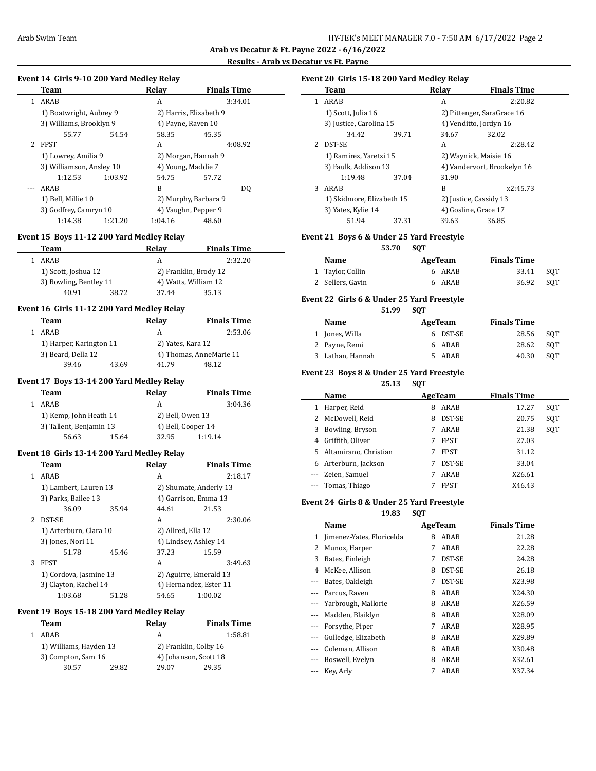#### **Results - Arab vs Decatur vs Ft. Payne**

 $\overline{\phantom{a}}$ 

#### **Event 14 Girls 9-10 200 Yard Medley Relay**

|                | Team                     |         | Relav               | <b>Finals Time</b>     |  |
|----------------|--------------------------|---------|---------------------|------------------------|--|
|                | ARAB                     |         | A                   | 3:34.01                |  |
|                | 1) Boatwright, Aubrey 9  |         |                     | 2) Harris, Elizabeth 9 |  |
|                | 3) Williams, Brooklyn 9  |         | 4) Payne, Raven 10  |                        |  |
|                | 55.77                    | 54.54   | 58.35               | 45.35                  |  |
| $\overline{2}$ | FPST                     |         | A                   | 4:08.92                |  |
|                | 1) Lowrey, Amilia 9      |         | 2) Morgan, Hannah 9 |                        |  |
|                | 3) Williamson, Ansley 10 |         | 4) Young, Maddie 7  |                        |  |
|                | 1:12.53                  | 1:03.92 | 54.75               | 57.72                  |  |
|                | ARAB                     |         | B                   | DO.                    |  |
|                | 1) Bell, Millie 10       |         |                     | 2) Murphy, Barbara 9   |  |
|                | 3) Godfrey, Camryn 10    |         |                     | 4) Vaughn, Pepper 9    |  |
|                | 1:14.38                  | 1:21.20 | 1:04.16             | 48.60                  |  |

# **Event 15 Boys 11-12 200 Yard Medley Relay**

| Relav | <b>Finals Time</b>              |
|-------|---------------------------------|
| А     | 2:32.20                         |
|       | 2) Franklin, Brody 12           |
|       | 4) Watts, William 12            |
| 37.44 | 35.13                           |
|       | 3) Bowling, Bentley 11<br>38.72 |

# **Event 16 Girls 11-12 200 Yard Medley Relay**

| Team               |                         | Relav | <b>Finals Time</b>      |  |  |
|--------------------|-------------------------|-------|-------------------------|--|--|
| 1 ARAR             |                         |       | 2:53.06                 |  |  |
|                    | 1) Harper, Karington 11 |       | 2) Yates, Kara 12       |  |  |
| 3) Beard, Della 12 |                         |       | 4) Thomas, AnneMarie 11 |  |  |
| 39.46              | 43.69                   | 41.79 | 48.12                   |  |  |

# **Event 17 Boys 13-14 200 Yard Medley Relay**

| Team                    |       | Relav              | <b>Finals Time</b> |  |
|-------------------------|-------|--------------------|--------------------|--|
| ARAB                    |       | А                  | 3:04.36            |  |
| 1) Kemp, John Heath 14  |       | 2) Bell, Owen 13   |                    |  |
| 3) Tallent, Benjamin 13 |       | 4) Bell, Cooper 14 |                    |  |
| 56.63                   | 15.64 | 32.95              | 1:19.14            |  |

# **Event 18 Girls 13-14 200 Yard Medley Relay**

|   | Team                   |       | Relav                  | <b>Finals Time</b>     |
|---|------------------------|-------|------------------------|------------------------|
|   | ARAB                   |       | A                      | 2:18.17                |
|   | 1) Lambert, Lauren 13  |       |                        | 2) Shumate, Anderly 13 |
|   | 3) Parks, Bailee 13    |       | 4) Garrison, Emma 13   |                        |
|   | 36.09                  | 35.94 | 44.61                  | 21.53                  |
|   | <b>DST-SE</b>          |       | A                      | 2:30.06                |
|   | 1) Arterburn, Clara 10 |       | 2) Allred, Ella 12     |                        |
|   | 3) Jones, Nori 11      |       | 4) Lindsey, Ashley 14  |                        |
|   | 51.78                  | 45.46 | 37.23                  | 15.59                  |
| 3 | <b>FPST</b>            |       | A                      | 3:49.63                |
|   | 1) Cordova, Jasmine 13 |       | 2) Aguirre, Emerald 13 |                        |
|   | 3) Clayton, Rachel 14  |       |                        | 4) Hernandez, Ester 11 |
|   | 1:03.68                | 51.28 | 54.65                  | 1:00.02                |

#### **Event 19 Boys 15-18 200 Yard Medley Relay**

| Team                   |       | Relav                 | <b>Finals Time</b>    |  |
|------------------------|-------|-----------------------|-----------------------|--|
| ARAR                   |       | А                     | 1:58.81               |  |
| 1) Williams, Hayden 13 |       | 2) Franklin, Colby 16 |                       |  |
| 3) Compton, Sam 16     |       |                       | 4) Johanson, Scott 18 |  |
| 30.57                  | 29.82 | 29.07                 | 29.35                 |  |

# **Event 20 Girls 15-18 200 Yard Medley Relay**

|   | Team                      |       | Relav                       | <b>Finals Time</b>         |  |
|---|---------------------------|-------|-----------------------------|----------------------------|--|
|   | ARAB                      |       | А                           | 2:20.82                    |  |
|   | 1) Scott, Julia 16        |       |                             | 2) Pittenger, SaraGrace 16 |  |
|   | 3) Justice, Carolina 15   |       |                             | 4) Venditto, Jordyn 16     |  |
|   | 34.42                     | 39.71 | 34.67                       | 32.02                      |  |
|   | DST-SE                    |       | A                           | 2:28.42                    |  |
|   | 1) Ramirez, Yaretzi 15    |       | 2) Waynick, Maisie 16       |                            |  |
|   | 3) Faulk, Addison 13      |       | 4) Vandervort, Brookelyn 16 |                            |  |
|   | 1:19.48                   | 37.04 | 31.90                       |                            |  |
| 3 | ARAB                      |       | B                           | x2:45.73                   |  |
|   | 1) Skidmore, Elizabeth 15 |       |                             | 2) Justice, Cassidy 13     |  |
|   | 3) Yates, Kylie 14        |       |                             | 4) Gosline, Grace 17       |  |
|   | 51.94                     | 37.31 | 39.63                       | 36.85                      |  |

# **Event 21 Boys 6 & Under 25 Yard Freestyle**

**53.70 SQT**

| Name             | AgeTeam | <b>Finals Time</b> |     |
|------------------|---------|--------------------|-----|
| 1 Taylor, Collin | 6 ARAB  | 33.41              | SOT |
| 2 Sellers, Gavin | 6 ARAB  | 36.92              | SOT |

# **Event 22 Girls 6 & Under 25 Yard Freestyle**

|                | 51.99 | <b>SOT</b> |          |                    |     |
|----------------|-------|------------|----------|--------------------|-----|
| Name           |       |            | AgeTeam  | <b>Finals Time</b> |     |
| 1 Jones, Willa |       |            | 6 DST-SE | 28.56              | SOT |
| 2 Payne, Remi  |       |            | 6 ARAB   | 28.62              | SOT |

3 Lathan, Hannah 5 ARAB 40.30 SQT

#### **Event 23 Boys 8 & Under 25 Yard Freestyle**

**25.13 SQT**

|    | Name                  |   | AgeTeam     | <b>Finals Time</b> |     |  |
|----|-----------------------|---|-------------|--------------------|-----|--|
|    | Harper, Reid          | 8 | ARAB        | 17.27              | SOT |  |
| 2  | McDowell, Reid        | 8 | DST-SE      | 20.75              | SQT |  |
| 3  | Bowling, Bryson       |   | ARAB        | 21.38              | SQT |  |
| 4  | Griffith, Oliver      |   | <b>FPST</b> | 27.03              |     |  |
| 5. | Altamirano, Christian |   | <b>FPST</b> | 31.12              |     |  |
| 6  | Arterburn, Jackson    |   | DST-SE      | 33.04              |     |  |
|    | --- Zeien, Samuel     |   | ARAB        | X26.61             |     |  |
|    | --- Tomas, Thiago     |   | <b>FPST</b> | X46.43             |     |  |

# **Event 24 Girls 8 & Under 25 Yard Freestyle**

**19.83 SQT**

|     | Name                      | AgeTeam |        | <b>Finals Time</b> |  |
|-----|---------------------------|---------|--------|--------------------|--|
| 1   | Jimenez-Yates, Floricelda | 8       | ARAB   | 21.28              |  |
| 2   | Munoz, Harper             | 7       | ARAB   | 22.28              |  |
| 3   | Bates, Finleigh           | 7       | DST-SE | 24.28              |  |
| 4   | McKee, Allison            | 8       | DST-SE | 26.18              |  |
|     | Bates, Oakleigh           | 7       | DST-SE | X23.98             |  |
|     | Parcus, Raven             | 8       | ARAB   | X24.30             |  |
|     | Yarbrough, Mallorie       | 8       | ARAB   | X26.59             |  |
|     | Madden, Blaiklyn          | 8       | ARAB   | X28.09             |  |
| --- | Forsythe, Piper           | 7       | ARAB   | X28.95             |  |
|     | Gulledge, Elizabeth       | 8       | ARAB   | X29.89             |  |
|     | Coleman, Allison          | 8       | ARAB   | X30.48             |  |
|     | Boswell, Evelyn           | 8       | ARAB   | X32.61             |  |
|     | Key, Arly                 | 7       | ARAB   | X37.34             |  |
|     |                           |         |        |                    |  |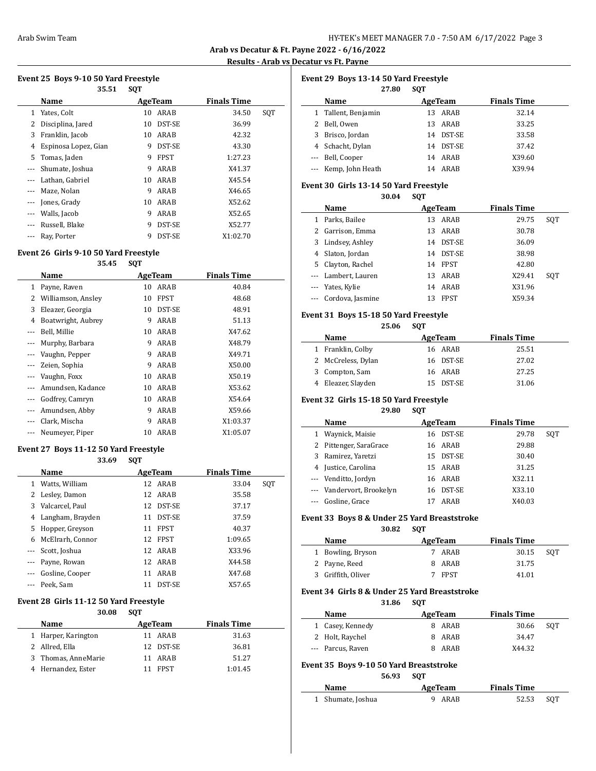**Results - Arab vs Decatur vs Ft. Payne**

# **Event 25 Boys 9-10 50 Yard Freestyle**

|       | 35.51                | <b>SQT</b> |               |                    |     |  |
|-------|----------------------|------------|---------------|--------------------|-----|--|
|       | Name                 |            | AgeTeam       | <b>Finals Time</b> |     |  |
| 1     | Yates, Colt          | 10         | ARAB          | 34.50              | SQT |  |
| 2     | Disciplina, Jared    | 10         | DST-SE        | 36.99              |     |  |
| 3     | Franklin, Jacob      | 10         | ARAB          | 42.32              |     |  |
| 4     | Espinosa Lopez, Gian | 9          | DST-SE        | 43.30              |     |  |
| 5     | Tomas, Jaden         | 9          | <b>FPST</b>   | 1:27.23            |     |  |
|       | Shumate, Joshua      | 9          | ARAB          | X41.37             |     |  |
|       | Lathan, Gabriel      | 10         | ARAB          | X45.54             |     |  |
| $---$ | Maze, Nolan          | 9          | ARAB          | X46.65             |     |  |
| ---   | Jones, Grady         | 10         | ARAB          | X52.62             |     |  |
|       | Walls, Jacob         | 9          | ARAB          | X52.65             |     |  |
| $---$ | Russell, Blake       | 9          | DST-SE        | X52.77             |     |  |
|       | Ray, Porter          | 9          | <b>DST-SE</b> | X1:02.70           |     |  |

# **Event 26 Girls 9-10 50 Yard Freestyle**

#### **35.45 SQT**

|          | Name               |    | AgeTeam     | <b>Finals Time</b> |  |
|----------|--------------------|----|-------------|--------------------|--|
| 1        | Payne, Raven       | 10 | ARAB        | 40.84              |  |
| 2        | Williamson, Ansley | 10 | <b>FPST</b> | 48.68              |  |
| 3        | Eleazer, Georgia   | 10 | DST-SE      | 48.91              |  |
| 4        | Boatwright, Aubrey | 9  | ARAB        | 51.13              |  |
|          | Bell, Millie       | 10 | ARAB        | X47.62             |  |
| $---$    | Murphy, Barbara    | 9  | ARAB        | X48.79             |  |
|          | Vaughn, Pepper     | 9  | ARAB        | X49.71             |  |
| $\cdots$ | Zeien, Sophia      | 9  | ARAB        | X50.00             |  |
|          | Vaughn, Foxx       | 10 | ARAB        | X50.19             |  |
|          | Amundsen, Kadance  | 10 | ARAB        | X53.62             |  |
|          | Godfrey, Camryn    | 10 | ARAB        | X54.64             |  |
|          | Amundsen, Abby     | 9  | ARAB        | X59.66             |  |
|          | Clark, Mischa      | 9  | ARAB        | X1:03.37           |  |
|          | Neumeyer, Piper    | 10 | ARAB        | X1:05.07           |  |

# **Event 27 Boys 11-12 50 Yard Freestyle**

#### **33.69 SQT**

|                      | Name             | AgeTeam |               | <b>Finals Time</b> |     |
|----------------------|------------------|---------|---------------|--------------------|-----|
| 1                    | Watts, William   |         | 12 ARAB       | 33.04              | SQT |
| 2                    | Lesley, Damon    |         | 12 ARAB       | 35.58              |     |
| 3                    | Valcarcel, Paul  |         | 12 DST-SE     | 37.17              |     |
| 4                    | Langham, Brayden | 11      | <b>DST-SE</b> | 37.59              |     |
| 5                    | Hopper, Greyson  | 11      | <b>FPST</b>   | 40.37              |     |
| 6                    | McElrarh, Connor |         | 12 FPST       | 1:09.65            |     |
| $\cdots$             | Scott, Joshua    |         | 12 ARAB       | X33.96             |     |
|                      | --- Payne, Rowan |         | 12 ARAB       | X44.58             |     |
|                      | Gosline, Cooper  | 11      | ARAB          | X47.68             |     |
| $\sim$ $\sim$ $\sim$ | Peek, Sam        | 11      | <b>DST-SE</b> | X57.65             |     |

#### **Event 28 Girls 11-12 50 Yard Freestyle**

#### **30.08 SQT**

| <b>Name</b>         | AgeTeam |           | <b>Finals Time</b> |
|---------------------|---------|-----------|--------------------|
| 1 Harper, Karington |         | 11 ARAR   | 31.63              |
| 2 Allred, Ella      |         | 12 DST-SE | 36.81              |
| 3 Thomas, AnneMarie |         | 11 ARAR   | 51.27              |
| 4 Hernandez, Ester  |         | 11 FPST   | 1:01.45            |

| Event 29 Boys 13-14 50 Yard Freestyle<br>27.80<br><b>SOT</b> |                   |    |               |                    |  |
|--------------------------------------------------------------|-------------------|----|---------------|--------------------|--|
|                                                              | Name              |    | AgeTeam       | <b>Finals Time</b> |  |
| 1                                                            | Tallent, Benjamin | 13 | ARAB          | 32.14              |  |
|                                                              | Bell, Owen        | 13 | ARAB          | 33.25              |  |
| 3.                                                           | Brisco, Jordan    | 14 | <b>DST-SE</b> | 33.58              |  |
|                                                              | Schacht, Dylan    | 14 | <b>DST-SE</b> | 37.42              |  |
|                                                              | --- Bell, Cooper  | 14 | ARAB          | X39.60             |  |

#### **Event 30 Girls 13-14 50 Yard Freestyle**

#### **30.04 SQT**

--- Kemp, John Heath 14 ARAB X39.94

|    | Name                 | AgeTeam |               | <b>Finals Time</b> |     |
|----|----------------------|---------|---------------|--------------------|-----|
| 1  | Parks, Bailee        | 13      | ARAB          | 29.75              | SOT |
|    | 2 Garrison, Emma     | 13      | ARAB          | 30.78              |     |
|    | 3 Lindsey, Ashley    | 14      | <b>DST-SE</b> | 36.09              |     |
|    | 4 Slaton, Jordan     | 14      | <b>DST-SE</b> | 38.98              |     |
| 5. | Clayton, Rachel      | 14      | <b>FPST</b>   | 42.80              |     |
|    | --- Lambert, Lauren  | 13.     | ARAB          | X29.41             | SOT |
|    | --- Yates, Kylie     | 14      | ARAB          | X31.96             |     |
|    | --- Cordova, Jasmine | 13      | <b>FPST</b>   | X59.34             |     |

# **Event 31 Boys 15-18 50 Yard Freestyle**

#### **25.06 SQT**

| Name               | AgeTeam   | <b>Finals Time</b> |
|--------------------|-----------|--------------------|
| 1 Franklin, Colby  | 16 ARAB   | 25.51              |
| 2 McCreless, Dylan | 16 DST-SE | 27.02              |
| 3 Compton, Sam     | 16 ARAB   | 27.25              |
| 4 Eleazer, Slayden | 15 DST-SE | 31.06              |

# **Event 32 Girls 15-18 50 Yard Freestyle**

#### **29.80 SQT**

| Name |                           | AgeTeam       | <b>Finals Time</b> |
|------|---------------------------|---------------|--------------------|
| 1    | Waynick, Maisie           | DST-SE<br>16. | 29.78<br>SOT       |
|      | 2 Pittenger, SaraGrace    | 16 ARAB       | 29.88              |
|      | 3 Ramirez, Yaretzi        | DST-SE<br>15  | 30.40              |
|      | 4 Justice, Carolina       | 15 ARAB       | 31.25              |
|      | --- Venditto, Jordyn      | ARAB<br>16    | X32.11             |
|      | --- Vandervort, Brookelyn | DST-SE<br>16. | X33.10             |
|      | --- Gosline, Grace        | ARAB          | X40.03             |

# **Event 33 Boys 8 & Under 25 Yard Breaststroke**

#### **30.82 SQT**

| Name               | AgeTeam | <b>Finals Time</b> |     |
|--------------------|---------|--------------------|-----|
| 1 Bowling, Bryson  | ARAB    | 30.15              | SOT |
| 2 Payne, Reed      | 8 ARAB  | 31.75              |     |
| 3 Griffith, Oliver | 7 FPST  | 41.01              |     |

# **Event 34 Girls 8 & Under 25 Yard Breaststroke**

**31.86 SQT**

| Name              | AgeTeam | <b>Finals Time</b> |     |
|-------------------|---------|--------------------|-----|
| 1 Casey, Kennedy  | 8 ARAB  | 30.66              | SOT |
| 2 Holt, Raychel   | 8 ARAB  | 34.47              |     |
| --- Parcus, Raven | 8 ARAB  | X44.32             |     |

# **Event 35 Boys 9-10 50 Yard Breaststroke**

**56.93 SQT**

| Name              | AgeTeam | <b>Finals Time</b> |     |
|-------------------|---------|--------------------|-----|
| 1 Shumate, Joshua | 9 ARAB  | 52.53              | SOT |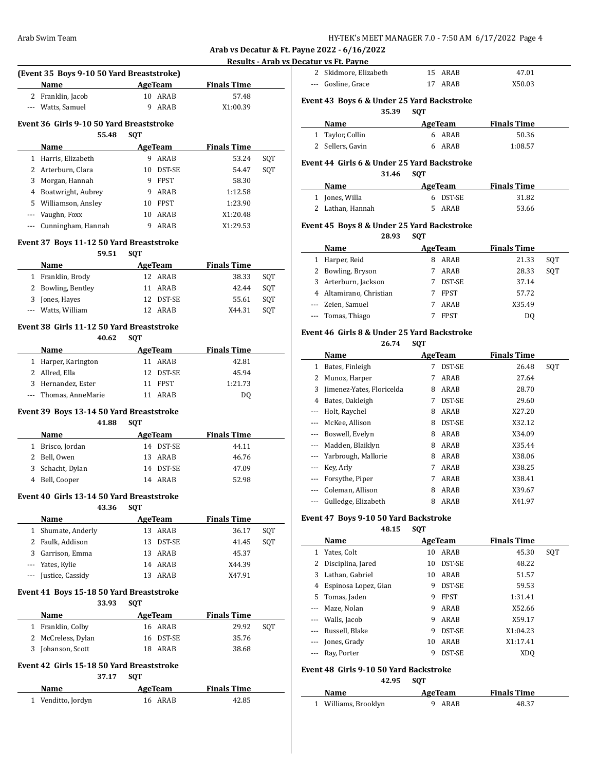**Results - Arab vs Decatur vs Ft. Payne**

|                |                                                   |                           | <u>KCSUILS - ATAD VS DI</u> |     |
|----------------|---------------------------------------------------|---------------------------|-----------------------------|-----|
|                | (Event 35 Boys 9-10 50 Yard Breaststroke)         |                           |                             |     |
|                | Name                                              | AgeTeam                   | <b>Finals Time</b>          |     |
|                | 2 Franklin, Jacob                                 | 10 ARAB                   | 57.48                       |     |
|                | --- Watts, Samuel                                 | 9<br>ARAB                 | X1:00.39                    |     |
|                | Event 36 Girls 9-10 50 Yard Breaststroke<br>55.48 | <b>SOT</b>                |                             |     |
|                | Name                                              | <b>AgeTeam</b>            | <b>Finals Time</b>          |     |
|                | 1 Harris, Elizabeth                               | 9 ARAB                    | 53.24                       | SQT |
|                | 2 Arterburn, Clara                                | 10 DST-SE                 | 54.47                       | SQT |
| 3              | Morgan, Hannah                                    | 9 FPST                    | 58.30                       |     |
|                | 4 Boatwright, Aubrey                              | 9 ARAB                    | 1:12.58                     |     |
|                | 5 Williamson, Ansley                              | 10 FPST                   | 1:23.90                     |     |
|                | --- Vaughn, Foxx                                  | 10 ARAB                   | X1:20.48                    |     |
| ---            | Cunningham, Hannah                                | 9 ARAB                    | X1:29.53                    |     |
|                | Event 37 Boys 11-12 50 Yard Breaststroke          |                           |                             |     |
|                | 59.51                                             | <b>SQT</b>                |                             |     |
|                | Name                                              | AgeTeam                   | <b>Finals Time</b>          |     |
|                | 1 Franklin, Brody                                 | 12 ARAB                   | 38.33                       | SQT |
|                | 2 Bowling, Bentley                                | 11 ARAB                   | 42.44                       | SQT |
|                | 3 Jones, Hayes                                    | 12 DST-SE                 | 55.61                       | SQT |
|                | Watts, William                                    | 12 ARAB                   | X44.31                      | SQT |
|                | Event 38 Girls 11-12 50 Yard Breaststroke         |                           |                             |     |
|                | 40.62<br>Name                                     | <b>SQT</b><br>AgeTeam     | <b>Finals Time</b>          |     |
|                | 1 Harper, Karington                               | 11 ARAB                   | 42.81                       |     |
| $\mathbf{2}$   | Allred, Ella                                      |                           |                             |     |
|                |                                                   | 12 DST-SE                 | 45.94                       |     |
|                | 3 Hernandez, Ester<br>--- Thomas, AnneMarie       | 11 FPST<br>11 ARAB        | 1:21.73<br>DQ               |     |
|                | Event 39 Boys 13-14 50 Yard Breaststroke<br>41.88 | <b>SQT</b>                |                             |     |
|                | Name                                              | <b>AgeTeam</b>            | <b>Finals Time</b>          |     |
|                | 1 Brisco, Jordan                                  | 14 DST-SE                 | 44.11                       |     |
|                | 2 Bell, Owen                                      | 13 ARAB                   | 46.76                       |     |
| 3              | Schacht, Dylan                                    | 14 DST-SE                 | 47.09                       |     |
|                | 4 Bell, Cooper                                    | 14 ARAB                   | 52.98                       |     |
|                | Event 40 Girls 13-14 50 Yard Breaststroke         |                           |                             |     |
|                | 43.36                                             | SQT                       |                             |     |
|                | Name                                              | <b>AgeTeam</b>            | <b>Finals Time</b>          |     |
| 1              | Shumate, Anderly                                  | 13 ARAB                   | 36.17                       | SQT |
| $\overline{2}$ | Faulk, Addison                                    | 13 DST-SE                 | 41.45                       | SQT |
|                | 3 Garrison, Emma                                  | 13 ARAB                   | 45.37                       |     |
|                | --- Yates, Kylie                                  | 14 ARAB                   | X44.39                      |     |
| ---            | Justice, Cassidy                                  | 13 ARAB                   | X47.91                      |     |
|                | Event 41 Boys 15-18 50 Yard Breaststroke<br>33.93 | <b>SQT</b>                |                             |     |
|                | <b>Name</b>                                       | <b>AgeTeam</b>            | <b>Finals Time</b>          |     |
| $\mathbf{1}$   | Franklin, Colby                                   | 16 ARAB                   | 29.92                       | SQT |
| $\mathbf{2}$   | McCreless, Dylan                                  | 16 DST-SE                 | 35.76                       |     |
|                | 3 Johanson, Scott                                 | 18 ARAB                   | 38.68                       |     |
|                | Event 42 Girls 15-18 50 Yard Breaststroke         |                           |                             |     |
|                | 37.17                                             | SQT                       |                             |     |
|                |                                                   |                           |                             |     |
|                | Name<br>Venditto, Jordyn                          | <b>AgeTeam</b><br>16 ARAB | <b>Finals Time</b>          |     |

| cacar və r cı r ayırc                        |                                                                             |                          |                                                                                                                                                                                                                                                                     |                                                              |
|----------------------------------------------|-----------------------------------------------------------------------------|--------------------------|---------------------------------------------------------------------------------------------------------------------------------------------------------------------------------------------------------------------------------------------------------------------|--------------------------------------------------------------|
| 2 Skidmore, Elizabeth                        |                                                                             |                          | 47.01                                                                                                                                                                                                                                                               |                                                              |
| --- Gosline, Grace                           |                                                                             | ARAB                     | X50.03                                                                                                                                                                                                                                                              |                                                              |
|                                              |                                                                             |                          |                                                                                                                                                                                                                                                                     |                                                              |
|                                              |                                                                             |                          |                                                                                                                                                                                                                                                                     |                                                              |
|                                              |                                                                             |                          |                                                                                                                                                                                                                                                                     |                                                              |
|                                              |                                                                             |                          |                                                                                                                                                                                                                                                                     |                                                              |
|                                              |                                                                             |                          |                                                                                                                                                                                                                                                                     |                                                              |
|                                              |                                                                             |                          |                                                                                                                                                                                                                                                                     |                                                              |
|                                              |                                                                             |                          |                                                                                                                                                                                                                                                                     |                                                              |
|                                              |                                                                             |                          |                                                                                                                                                                                                                                                                     |                                                              |
|                                              |                                                                             |                          |                                                                                                                                                                                                                                                                     |                                                              |
| Jones, Willa<br>$\mathbf{1}$                 |                                                                             | DST-SE                   | 31.82                                                                                                                                                                                                                                                               |                                                              |
| 2 Lathan, Hannah                             |                                                                             | ARAB                     | 53.66                                                                                                                                                                                                                                                               |                                                              |
|                                              |                                                                             |                          |                                                                                                                                                                                                                                                                     |                                                              |
| 28.93                                        | <b>SOT</b>                                                                  |                          |                                                                                                                                                                                                                                                                     |                                                              |
| Name                                         |                                                                             |                          | <b>Finals Time</b>                                                                                                                                                                                                                                                  |                                                              |
| 1 Harper, Reid                               |                                                                             |                          | 21.33                                                                                                                                                                                                                                                               | SQT                                                          |
|                                              |                                                                             |                          | 28.33                                                                                                                                                                                                                                                               |                                                              |
|                                              |                                                                             |                          |                                                                                                                                                                                                                                                                     | SQT                                                          |
| Arterburn, Jackson<br>3                      | 7                                                                           | DST-SE                   | 37.14                                                                                                                                                                                                                                                               |                                                              |
| 4 Altamirano, Christian                      |                                                                             | 7 FPST                   | 57.72                                                                                                                                                                                                                                                               |                                                              |
| Zeien, Samuel                                | 7                                                                           | ARAB                     | X35.49                                                                                                                                                                                                                                                              |                                                              |
| Tomas, Thiago                                | 7                                                                           | <b>FPST</b>              | D <sub>0</sub>                                                                                                                                                                                                                                                      |                                                              |
|                                              |                                                                             |                          |                                                                                                                                                                                                                                                                     |                                                              |
| Event 46  Girls 8 & Under 25 Yard Backstroke |                                                                             |                          |                                                                                                                                                                                                                                                                     |                                                              |
| 26.74                                        | <b>SQT</b>                                                                  |                          |                                                                                                                                                                                                                                                                     |                                                              |
| Name                                         |                                                                             | AgeTeam                  | <b>Finals Time</b>                                                                                                                                                                                                                                                  |                                                              |
| Bates, Finleigh<br>1                         |                                                                             | 7 DST-SE                 | 26.48                                                                                                                                                                                                                                                               | SQT                                                          |
| Munoz, Harper                                |                                                                             | 7 ARAB                   | 27.64                                                                                                                                                                                                                                                               |                                                              |
| Jimenez-Yates, Floricelda<br>Bates, Oakleigh | 7                                                                           | 8 ARAB<br>DST-SE         | 28.70<br>29.60                                                                                                                                                                                                                                                      |                                                              |
|                                              | 35.39<br><b>Name</b><br>Taylor, Collin<br>2 Sellers, Gavin<br>31.46<br>Name | <b>SOT</b><br><b>SQT</b> | 15 ARAB<br>17<br>Event 43 Boys 6 & Under 25 Yard Backstroke<br>AgeTeam<br>6 ARAB<br>6 ARAB<br>Event 44  Girls 6 & Under 25 Yard Backstroke<br>AgeTeam<br>6<br>5.<br>Event 45  Boys 8 & Under 25 Yard Backstroke<br>AgeTeam<br>8 ARAB<br>2 Bowling, Bryson<br>7 ARAB | <b>Finals Time</b><br>50.36<br>1:08.57<br><b>Finals Time</b> |

# **Event 47 Boys 9-10 50 Yard Backstroke**

 $\overline{\phantom{a}}$ 

# **48.15 SQT**

--- McKee, Allison 8 DST-SE X32.12 --- Boswell, Evelyn 8 ARAB X34.09 --- Madden, Blaiklyn 8 ARAB X35.44 --- Yarbrough, Mallorie 8 ARAB X38.06 --- Key, Arly 7 ARAB X38.25 --- Forsythe, Piper 7 ARAB X38.41 --- Coleman, Allison 8 ARAB X39.67 --- Gulledge, Elizabeth 8 ARAB X41.97

|     | Name                 |    | AgeTeam     | <b>Finals Time</b> |     |
|-----|----------------------|----|-------------|--------------------|-----|
| 1   | Yates, Colt          | 10 | ARAB        | 45.30              | SOT |
| 2   | Disciplina, Jared    | 10 | DST-SE      | 48.22              |     |
| 3   | Lathan, Gabriel      | 10 | ARAB        | 51.57              |     |
| 4   | Espinosa Lopez, Gian | 9  | DST-SE      | 59.53              |     |
| 5.  | Tomas, Jaden         | 9  | <b>FPST</b> | 1:31.41            |     |
|     | Maze, Nolan          | 9  | ARAB        | X52.66             |     |
| --- | Walls, Jacob         | 9  | ARAB        | X59.17             |     |
|     | Russell, Blake       | 9  | DST-SE      | X1:04.23           |     |
|     | Jones, Grady         | 10 | ARAB        | X1:17.41           |     |
|     | Ray, Porter          | 9  | DST-SE      | XD <sub>O</sub>    |     |
|     |                      |    |             |                    |     |

# **Event 48 Girls 9-10 50 Yard Backstroke**

**42.95 SQT**

| <b>Name</b>          | AgeTeam | <b>Finals Time</b> |  |
|----------------------|---------|--------------------|--|
| 1 Williams, Brooklyn | 9 ARAB  | 48.37              |  |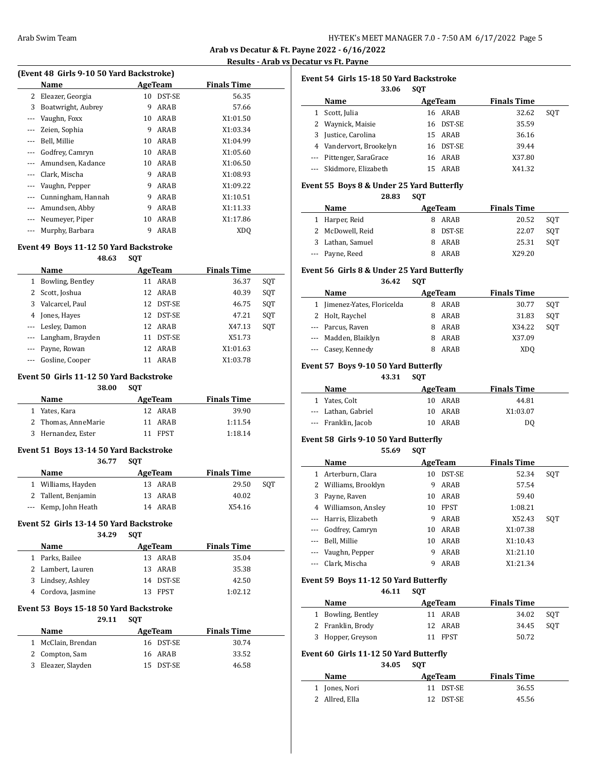**Results - Arab vs Decatur vs Ft. Payne**

| (Event 48 Girls 9-10 50 Yard Backstroke) |    |        |                    |  |  |  |
|------------------------------------------|----|--------|--------------------|--|--|--|
| Name                                     |    |        | <b>Finals Time</b> |  |  |  |
| Eleazer, Georgia                         | 10 | DST-SE | 56.35              |  |  |  |
| Boatwright, Aubrey                       | 9  | ARAB   | 57.66              |  |  |  |
| Vaughn, Foxx                             | 10 | ARAB   | X1:01.50           |  |  |  |
| Zeien, Sophia                            | 9  | ARAB   | X1:03.34           |  |  |  |
| Bell, Millie                             | 10 | ARAB   | X1:04.99           |  |  |  |
| Godfrey, Camryn                          | 10 | ARAB   | X1:05.60           |  |  |  |
| Amundsen, Kadance                        | 10 | ARAB   | X1:06.50           |  |  |  |
| Clark, Mischa                            | 9  | ARAB   | X1:08.93           |  |  |  |
| Vaughn, Pepper                           | 9  | ARAB   | X1:09.22           |  |  |  |
| Cunningham, Hannah                       | 9  | ARAB   | X1:10.51           |  |  |  |
| Amundsen, Abby                           | 9  | ARAB   | X1:11.33           |  |  |  |
| Neumeyer, Piper                          | 10 | ARAB   | X1:17.86           |  |  |  |
| Murphy, Barbara                          | 9  | ARAB   | XDO                |  |  |  |
|                                          |    |        | AgeTeam            |  |  |  |

# **Event 49 Boys 11-12 50 Yard Backstroke**

#### **48.63 SQT**

|   | Name                 | AgeTeam |               | <b>Finals Time</b> |     |
|---|----------------------|---------|---------------|--------------------|-----|
| 1 | Bowling, Bentley     | 11      | ARAB          | 36.37              | SQT |
| 2 | Scott, Joshua        |         | 12 ARAB       | 40.39              | SQT |
| 3 | Valcarcel, Paul      | 12      | DST-SE        | 46.75              | SOT |
| 4 | Jones, Hayes         | 12      | <b>DST-SE</b> | 47.21              | SOT |
|   | --- Lesley, Damon    |         | 12 ARAB       | X47.13             | SOT |
|   | --- Langham, Brayden | 11      | DST-SE        | X51.73             |     |
|   | Payne, Rowan         | 12      | ARAB          | X1:01.63           |     |
|   | Gosline, Cooper      | 11      | ARAB          | X1:03.78           |     |

#### **Event 50 Girls 11-12 50 Yard Backstroke**

#### **38.00 SQT**

| Name                | AgeTeam | <b>Finals Time</b> |  |
|---------------------|---------|--------------------|--|
| 1 Yates, Kara       | 12 ARAR | 39.90              |  |
| 2 Thomas, AnneMarie | 11 ARAR | 1:11.54            |  |
| 3 Hernandez, Ester  | 11 FPST | 1:18.14            |  |

#### **Event 51 Boys 13-14 50 Yard Backstroke 36.77 SQT**

| 36.77                | -SUT- |         |                    |     |
|----------------------|-------|---------|--------------------|-----|
| Name                 |       | AgeTeam | <b>Finals Time</b> |     |
| 1 Williams, Hayden   |       | 13 ARAB | 29.50              | SOT |
| 2 Tallent, Benjamin  |       | 13 ARAB | 40.02              |     |
| --- Kemp, John Heath |       | 14 ARAR | X54.16             |     |

#### **Event 52 Girls 13-14 50 Yard Backstroke**

| 24. ZO<br>14.LJ<br>۰. | SOT |
|-----------------------|-----|
|-----------------------|-----|

| Name               | AgeTeam   | <b>Finals Time</b> |
|--------------------|-----------|--------------------|
| 1 Parks, Bailee    | 13 ARAB   | 35.04              |
| 2 Lambert, Lauren  | 13 ARAB   | 35.38              |
| 3 Lindsey, Ashley  | 14 DST-SE | 42.50              |
| 4 Cordova, Jasmine | 13 FPST   | 1:02.12            |

#### **Event 53 Boys 15-18 50 Yard Backstroke**

**29.11 SQT**

| Name               | AgeTeam   | <b>Finals Time</b> |
|--------------------|-----------|--------------------|
| 1 McClain, Brendan | 16 DST-SE | 30.74              |
| 2 Compton, Sam     | 16 ARAB   | 33.52              |
| 3 Eleazer, Slayden | 15 DST-SE | 46.58              |

| Event 54 Girls 15-18 50 Yard Backstroke<br><b>SOT</b><br>33.06 |                          |    |               |                    |     |  |  |  |
|----------------------------------------------------------------|--------------------------|----|---------------|--------------------|-----|--|--|--|
|                                                                | Name                     |    | AgeTeam       | <b>Finals Time</b> |     |  |  |  |
| 1                                                              | Scott, Julia             | 16 | ARAR          | 32.62              | SOT |  |  |  |
|                                                                | 2 Waynick, Maisie        | 16 | DST-SE        | 35.59              |     |  |  |  |
| 3                                                              | Justice, Carolina        | 15 | ARAB          | 36.16              |     |  |  |  |
|                                                                | 4 Vandervort, Brookelyn  | 16 | <b>DST-SE</b> | 39.44              |     |  |  |  |
|                                                                | --- Pittenger, SaraGrace | 16 | ARAB          | X37.80             |     |  |  |  |
|                                                                | Skidmore, Elizabeth      | 15 | ARAR          | X41.32             |     |  |  |  |

#### **Event 55 Boys 8 & Under 25 Yard Butterfly**

**28.83 SQT**

| Name             | AgeTeam  | <b>Finals Time</b> |     |
|------------------|----------|--------------------|-----|
| 1 Harper, Reid   | 8 ARAB   | 20.52              | SOT |
| 2 McDowell, Reid | 8 DST-SE | 22.07              | SOT |
| 3 Lathan, Samuel | 8 ARAB   | 25.31              | SOT |
| --- Payne, Reed  | ARAR     | X29.20             |     |

# **Event 56 Girls 8 & Under 25 Yard Butterfly**

**36.42 SQT**

| Name                        | AgeTeam | <b>Finals Time</b> |     |
|-----------------------------|---------|--------------------|-----|
| 1 Jimenez-Yates, Floricelda | ARAB    | 30.77              | SOT |
| 2 Holt, Raychel             | ARAB    | 31.83              | SOT |
| --- Parcus, Raven           | ARAB    | X34.22             | SOT |
| --- Madden, Blaiklyn        | ARAB    | X37.09             |     |
| --- Casey, Kennedy          | ARAR    | XDO                |     |

# **Event 57 Boys 9-10 50 Yard Butterfly**

**43.31 SQT**

| <b>Name</b>         | AgeTeam | <b>Finals Time</b> |  |
|---------------------|---------|--------------------|--|
| 1 Yates, Colt       | 10 ARAB | 44.81              |  |
| --- Lathan, Gabriel | 10 ARAB | X1:03.07           |  |
| --- Franklin, Jacob | 10 ARAB | D0                 |  |

# **Event 58 Girls 9-10 50 Yard Butterfly**

|              | 55.69              | <b>SOT</b> |               |                    |     |
|--------------|--------------------|------------|---------------|--------------------|-----|
|              | Name               |            | AgeTeam       | <b>Finals Time</b> |     |
| $\mathbf{1}$ | Arterburn, Clara   | 10         | <b>DST-SE</b> | 52.34              | SQT |
|              | Williams, Brooklyn | 9          | ARAB          | 57.54              |     |
| 3            | Payne, Raven       | 10         | ARAB          | 59.40              |     |
| 4            | Williamson, Ansley | 10         | <b>FPST</b>   | 1:08.21            |     |
| $\cdots$     | Harris, Elizabeth  | 9          | ARAB          | X52.43             | SOT |
|              | Godfrey, Camryn    | 10         | ARAB          | X1:07.38           |     |
|              | Bell, Millie       | 10         | ARAB          | X1:10.43           |     |
|              | Vaughn, Pepper     | 9          | ARAB          | X1:21.10           |     |
|              | Clark, Mischa      | 9          | ARAB          | X1:21.34           |     |

# **Event 59 Boys 11-12 50 Yard Butterfly**

# **46.11 SQT**

| <b>Name</b>        | AgeTeam | <b>Finals Time</b> |  |
|--------------------|---------|--------------------|--|
| 1 Bowling, Bentley | 11 ARAR | 34.02<br>SOT       |  |
| 2 Franklin, Brody  | 12 ARAB | 34.45<br>SOT       |  |
| 3 Hopper, Greyson  | 11 FPST | 50.72              |  |

# **Event 60 Girls 11-12 50 Yard Butterfly**

**34.05 SQT**

| Name           | AgeTeam   | <b>Finals Time</b> |  |
|----------------|-----------|--------------------|--|
| 1 Jones, Nori  | 11 DST-SE | 36.55              |  |
| 2 Allred, Ella | 12 DST-SE | 45.56              |  |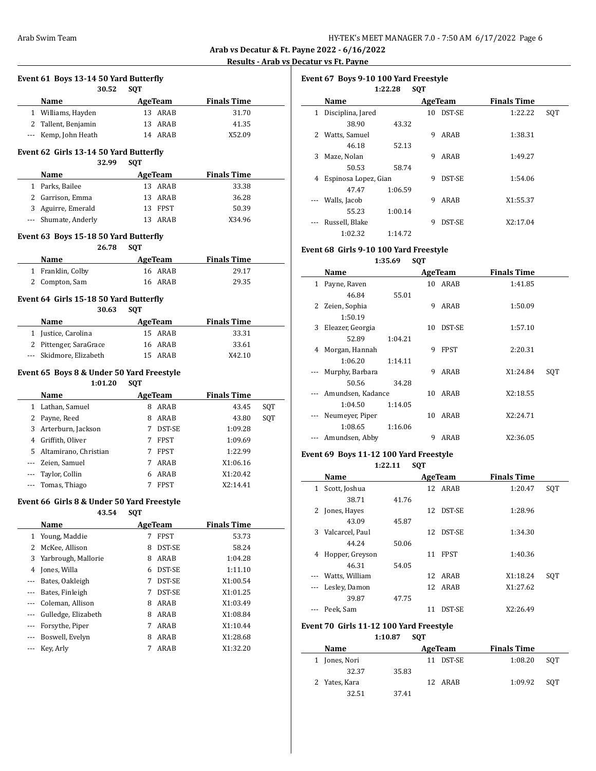$\frac{1}{2}$ 

 $\overline{\phantom{a}}$ 

**Results vs Ft. Payne** 

|          |                                                      |                                 | <b>Results - Arab v</b>     |     |
|----------|------------------------------------------------------|---------------------------------|-----------------------------|-----|
|          | Event 61 Boys 13-14 50 Yard Butterfly                |                                 |                             |     |
|          | 30.52                                                | <b>SQT</b>                      |                             |     |
|          | Name<br>1 Williams, Hayden                           | AgeTeam<br>13 ARAB              | <b>Finals Time</b><br>31.70 |     |
|          | 2 Tallent, Benjamin                                  | 13 ARAB                         | 41.35                       |     |
| --- 1    | Kemp, John Heath                                     | 14 ARAB                         | X52.09                      |     |
|          |                                                      |                                 |                             |     |
|          | Event 62 Girls 13-14 50 Yard Butterfly<br>32.99      | <b>SQT</b>                      |                             |     |
|          | Name                                                 | AgeTeam                         | <b>Finals Time</b>          |     |
|          | 1 Parks, Bailee                                      | 13 ARAB                         | 33.38                       |     |
|          | 2 Garrison, Emma                                     | ARAB<br>13                      | 36.28                       |     |
|          | 3 Aguirre, Emerald                                   | 13 FPST                         | 50.39                       |     |
| $\cdots$ | Shumate, Anderly                                     | 13 ARAB                         | X34.96                      |     |
|          | Event 63 Boys 15-18 50 Yard Butterfly                |                                 |                             |     |
|          | 26.78                                                | <b>SQT</b>                      |                             |     |
|          | Name                                                 | <b>AgeTeam</b>                  | <b>Finals Time</b>          |     |
|          | 1 Franklin, Colby                                    | 16 ARAB                         | 29.17                       |     |
|          | 2 Compton, Sam                                       | 16 ARAB                         | 29.35                       |     |
|          | Event 64 Girls 15-18 50 Yard Butterfly               |                                 |                             |     |
|          | 30.63                                                | <b>SQT</b>                      |                             |     |
|          | Name                                                 | AgeTeam                         | <b>Finals Time</b>          |     |
|          | 1 Justice, Carolina                                  | 15 ARAB                         | 33.31                       |     |
|          | 2 Pittenger, SaraGrace                               | 16 ARAB                         | 33.61                       |     |
|          | Skidmore, Elizabeth                                  | ARAB<br>15                      | X42.10                      |     |
|          |                                                      |                                 |                             |     |
|          | Event 65 Boys 8 & Under 50 Yard Freestyle<br>1:01.20 | <b>SQT</b>                      |                             |     |
|          | Name                                                 | AgeTeam                         | <b>Finals Time</b>          |     |
|          | 1 Lathan, Samuel                                     | 8 ARAB                          | 43.45                       | SQT |
|          | 2 Payne, Reed                                        | 8 ARAB                          | 43.80                       | SQT |
|          | 3 Arterburn, Jackson                                 | 7 <sup>7</sup><br><b>DST-SE</b> | 1:09.28                     |     |
|          | 4 Griffith, Oliver                                   | 7<br><b>FPST</b>                | 1:09.69                     |     |
| 5.       | Altamirano, Christian                                | <b>FPST</b><br>7                | 1:22.99                     |     |
| --- 1    | Zeien, Samuel                                        | ARAB<br>7                       | X1:06.16                    |     |
| --- 1    | Taylor, Collin                                       | ARAB<br>6                       |                             |     |
|          |                                                      |                                 |                             |     |
|          |                                                      | 7<br><b>FPST</b>                | X1:20.42                    |     |
|          | Tomas, Thiago                                        |                                 | X2:14.41                    |     |
|          | Event 66 Girls 8 & Under 50 Yard Freestyle<br>43.54  | <b>SQT</b>                      |                             |     |
|          | Name                                                 | AgeTeam                         | <b>Finals Time</b>          |     |
|          | 1 Young, Maddie                                      | 7<br><b>FPST</b>                | 53.73                       |     |
| 2        | McKee, Allison                                       | 8<br>DST-SE                     | 58.24                       |     |
| 3        | Yarbrough, Mallorie                                  | 8 ARAB                          | 1:04.28                     |     |
|          | 4 Jones, Willa                                       | 6 DST-SE                        | 1:11.10                     |     |
| ---      | Bates, Oakleigh                                      | DST-SE<br>7                     | X1:00.54                    |     |
| ---      | Bates, Finleigh                                      | DST-SE<br>7                     | X1:01.25                    |     |
| ---      | Coleman, Allison                                     | ARAB<br>8.                      | X1:03.49                    |     |
| --- 1    | Gulledge, Elizabeth                                  | ARAB<br>8                       | X1:08.84                    |     |
| ---      | Forsythe, Piper                                      | 7<br>ARAB                       | X1:10.44                    |     |
| --- 1    | Boswell, Evelyn                                      | ARAB<br>8.                      | X1:28.68                    |     |
| ---      | Key, Arly                                            | 7<br>ARAB                       | X1:32.20                    |     |

|              | Event 67 Boys 9-10 100 Yard Freestyle |         |            |               |                    |     |
|--------------|---------------------------------------|---------|------------|---------------|--------------------|-----|
|              |                                       | 1:22.28 | <b>SOT</b> |               |                    |     |
|              | Name                                  |         |            | AgeTeam       | <b>Finals Time</b> |     |
| $\mathbf{1}$ | Disciplina, Jared                     |         | 10         | DST-SE        | 1:22.22            | SQT |
|              | 38.90                                 | 43.32   |            |               |                    |     |
| 2            | Watts, Samuel                         |         | 9          | ARAB          | 1:38.31            |     |
|              | 46.18                                 | 52.13   |            |               |                    |     |
| 3            | Maze, Nolan                           |         | 9          | ARAB          | 1:49.27            |     |
|              | 50.53                                 | 58.74   |            |               |                    |     |
| 4            | Espinosa Lopez, Gian                  |         | 9          | <b>DST-SE</b> | 1:54.06            |     |
|              | 47.47                                 | 1:06.59 |            |               |                    |     |
| $\cdots$     | Walls, Jacob                          |         | 9          | ARAB          | X1:55.37           |     |
|              | 55.23                                 | 1:00.14 |            |               |                    |     |
|              | Russell, Blake                        |         | 9          | <b>DST-SE</b> | X2:17.04           |     |
|              | 1:02.32                               | 1:14.72 |            |               |                    |     |

# **Event 68 Girls 9-10 100 Yard Freestyle**

**1:35.69 SQT**

|     | Name              |         |    | AgeTeam     | <b>Finals Time</b> |     |
|-----|-------------------|---------|----|-------------|--------------------|-----|
| 1   | Payne, Raven      |         |    | 10 ARAB     | 1:41.85            |     |
|     | 46.84             | 55.01   |    |             |                    |     |
| 2   | Zeien, Sophia     |         | 9  | ARAB        | 1:50.09            |     |
|     | 1:50.19           |         |    |             |                    |     |
| 3   | Eleazer, Georgia  |         | 10 | DST-SE      | 1:57.10            |     |
|     | 52.89             | 1:04.21 |    |             |                    |     |
| 4   | Morgan, Hannah    |         | 9  | <b>FPST</b> | 2:20.31            |     |
|     | 1:06.20           | 1:14.11 |    |             |                    |     |
|     | Murphy, Barbara   |         | 9  | ARAB        | X1:24.84           | SQT |
|     | 50.56             | 34.28   |    |             |                    |     |
|     | Amundsen, Kadance |         | 10 | ARAB        | X2:18.55           |     |
|     | 1:04.50           | 1:14.05 |    |             |                    |     |
|     | Neumeyer, Piper   |         | 10 | ARAB        | X2:24.71           |     |
|     | 1:08.65           | 1:16.06 |    |             |                    |     |
| --- | Amundsen, Abby    |         | 9  | ARAB        | X2:36.05           |     |

# **Event 69 Boys 11-12 100 Yard Freestyle**

**1:22.11 SQT**

|   | Name            |       |    | AgeTeam       | <b>Finals Time</b> |     |
|---|-----------------|-------|----|---------------|--------------------|-----|
| 1 | Scott, Joshua   |       |    | 12 ARAB       | 1:20.47            | SOT |
|   | 38.71           | 41.76 |    |               |                    |     |
| 2 | Jones, Hayes    |       | 12 | DST-SE        | 1:28.96            |     |
|   | 43.09           | 45.87 |    |               |                    |     |
| 3 | Valcarcel, Paul |       | 12 | <b>DST-SE</b> | 1:34.30            |     |
|   | 44.24           | 50.06 |    |               |                    |     |
| 4 | Hopper, Greyson |       | 11 | <b>FPST</b>   | 1:40.36            |     |
|   | 46.31           | 54.05 |    |               |                    |     |
|   | Watts, William  |       | 12 | ARAB          | X1:18.24           | SOT |
|   | Lesley, Damon   |       | 12 | ARAB          | X1:27.62           |     |
|   | 39.87           | 47.75 |    |               |                    |     |
|   | Peek, Sam       |       | 11 | <b>DST-SE</b> | X2:26.49           |     |

# **Event 70 Girls 11-12 100 Yard Freestyle**

**1:10.87 SQT**

| <b>Name</b> |               |       | AgeTeam   | <b>Finals Time</b> |     |
|-------------|---------------|-------|-----------|--------------------|-----|
|             | 1 Jones, Nori |       | 11 DST-SE | 1:08.20            | SOT |
|             | 32.37         | 35.83 |           |                    |     |
|             | 2 Yates, Kara |       | 12 ARAB   | 1:09.92            | SOT |
|             | 32.51         | 37.41 |           |                    |     |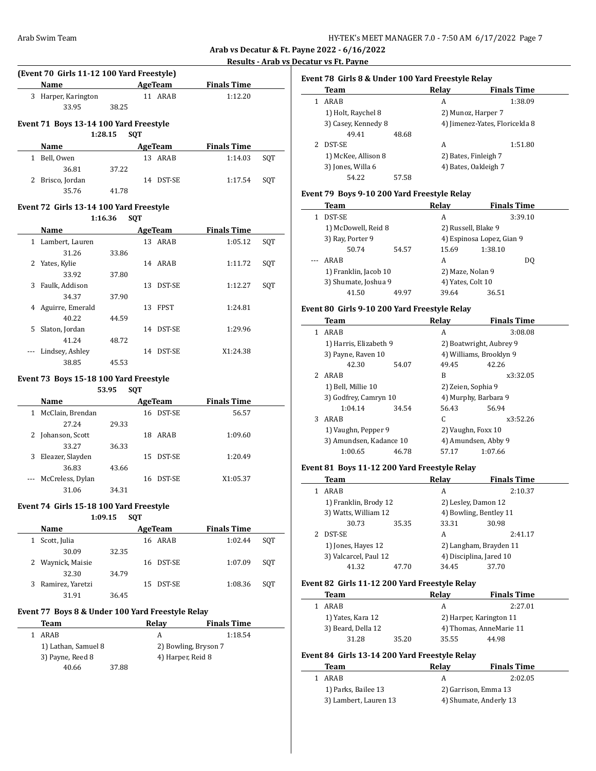# **Results - Arab vs Decatur vs Ft. Payne**

 $\overline{a}$ 

|   | <b>Name</b>                             |         |            | AgeTeam        | <b>Finals Time</b> |     |
|---|-----------------------------------------|---------|------------|----------------|--------------------|-----|
|   | 3 Harper, Karington                     |         |            | 11 ARAB        | 1:12.20            |     |
|   | 33.95                                   | 38.25   |            |                |                    |     |
|   | Event 71 Boys 13-14 100 Yard Freestyle  |         |            |                |                    |     |
|   |                                         | 1:28.15 | <b>SQT</b> |                |                    |     |
|   | <b>Name</b>                             |         |            | <b>AgeTeam</b> | <b>Finals Time</b> |     |
|   | 1 Bell, Owen                            |         |            | 13 ARAB        | 1:14.03            | SQT |
|   | 36.81                                   | 37.22   |            |                |                    |     |
|   | 2 Brisco, Jordan                        |         |            | 14 DST-SE      | 1:17.54            | SQT |
|   | 35.76                                   | 41.78   |            |                |                    |     |
|   | Event 72 Girls 13-14 100 Yard Freestyle |         |            |                |                    |     |
|   |                                         | 1:16.36 | <b>SOT</b> |                |                    |     |
|   | <b>Name</b>                             |         |            | AgeTeam        | <b>Finals Time</b> |     |
|   | 1 Lambert, Lauren                       |         |            | 13 ARAB        | 1:05.12            | SQT |
|   | 31.26                                   | 33.86   |            |                |                    |     |
| 2 | Yates, Kylie                            |         |            | 14 ARAB        | 1:11.72            | SOT |
|   | 33.92                                   | 37.80   |            |                |                    |     |
|   | 3 Faulk, Addison                        |         |            | 13 DST-SE      | 1:12.27            | SQT |
|   | 34.37                                   | 37.90   |            |                |                    |     |
|   | 4 Aguirre, Emerald                      |         |            | 13 FPST        | 1:24.81            |     |
|   | 40.22                                   | 44.59   |            |                |                    |     |
|   |                                         |         |            | 14 DST-SE      | 1:29.96            |     |
|   |                                         |         |            |                |                    |     |
|   | 5 Slaton, Jordan<br>41.24               | 48.72   |            |                |                    |     |
|   | Lindsey, Ashley                         |         |            | 14 DST-SE      | X1:24.38           |     |

# **Event 73 Boys 15-18 100 Yard Freestyle**

**53.95 SQT**

|   | Name                 |       |    | AgeTeam   | <b>Finals Time</b> |  |
|---|----------------------|-------|----|-----------|--------------------|--|
| 1 | McClain, Brendan     |       | 16 | DST-SE    | 56.57              |  |
|   | 27.24                | 29.33 |    |           |                    |  |
|   | 2 Johanson, Scott    |       | 18 | ARAB      | 1:09.60            |  |
|   | 33.27                | 36.33 |    |           |                    |  |
| 3 | Eleazer, Slayden     |       |    | 15 DST-SE | 1:20.49            |  |
|   | 36.83                | 43.66 |    |           |                    |  |
|   | --- McCreless, Dylan |       | 16 | DST-SE    | X1:05.37           |  |
|   | 31.06                | 34.31 |    |           |                    |  |

#### **Event 74 Girls 15-18 100 Yard Freestyle**

#### **1:09.15 SQT**

|   | <b>Name</b>        |       |     | AgeTeam       | <b>Finals Time</b> |     |  |
|---|--------------------|-------|-----|---------------|--------------------|-----|--|
| 1 | Scott, Julia       |       |     | 16 ARAB       | 1:02.44            | SOT |  |
|   | 30.09              | 32.35 |     |               |                    |     |  |
|   | 2 Waynick, Maisie  |       |     | 16 DST-SE     | 1:07.09            | SOT |  |
|   | 32.30              | 34.79 |     |               |                    |     |  |
|   | 3 Ramirez, Yaretzi |       | 15. | <b>DST-SE</b> | 1:08.36            | SOT |  |
|   | 31.91              | 36.45 |     |               |                    |     |  |

# **Event 77 Boys 8 & Under 100 Yard Freestyle Relay**

| Team                |       | Relav | <b>Finals Time</b>   |
|---------------------|-------|-------|----------------------|
| ARAR                |       | А     | 1:18.54              |
| 1) Lathan, Samuel 8 |       |       | 2) Bowling, Bryson 7 |
| 3) Payne, Reed 8    |       |       | 4) Harper, Reid 8    |
| 40.66               | 37.88 |       |                      |

# **Event 78 Girls 8 & Under 100 Yard Freestyle Relay**

| Team                |       | Relay | <b>Finals Time</b>             |
|---------------------|-------|-------|--------------------------------|
| ARAB                |       | A     | 1:38.09                        |
| 1) Holt, Raychel 8  |       |       | 2) Munoz, Harper 7             |
| 3) Casey, Kennedy 8 |       |       | 4) Jimenez-Yates, Floricelda 8 |
| 49.41               | 48.68 |       |                                |
| <b>DST-SE</b>       |       | A     | 1:51.80                        |
| 1) McKee, Allison 8 |       |       | 2) Bates, Finleigh 7           |
| 3) Jones, Willa 6   |       |       | 4) Bates, Oakleigh 7           |
| 54.22               | 57.58 |       |                                |

# **Event 79 Boys 9-10 200 Yard Freestyle Relay**

| Team                  |       | Relav               | <b>Finals Time</b>        |         |
|-----------------------|-------|---------------------|---------------------------|---------|
| <b>DST-SE</b>         |       | А                   |                           | 3:39.10 |
| 1) McDowell, Reid 8   |       | 2) Russell, Blake 9 |                           |         |
| 3) Ray, Porter 9      |       |                     | 4) Espinosa Lopez, Gian 9 |         |
| 50.74                 | 54.57 | 15.69               | 1:38.10                   |         |
| ARAB                  |       | А                   |                           | DO      |
| 1) Franklin, Jacob 10 |       | 2) Maze, Nolan 9    |                           |         |
| 3) Shumate, Joshua 9  |       | 4) Yates, Colt 10   |                           |         |
| 41.50                 | 49.97 | 39.64               | 36.51                     |         |

#### **Event 80 Girls 9-10 200 Yard Freestyle Relay**

|    | Team                    |       | Relay                   | <b>Finals Time</b> |
|----|-------------------------|-------|-------------------------|--------------------|
| 1. | ARAB                    |       | A                       | 3:08.08            |
|    | 1) Harris, Elizabeth 9  |       | 2) Boatwright, Aubrey 9 |                    |
|    | 3) Payne, Raven 10      |       | 4) Williams, Brooklyn 9 |                    |
|    | 42.30                   | 54.07 | 49.45                   | 42.26              |
|    | 2 ARAB                  |       | B                       | x3:32.05           |
|    | 1) Bell, Millie 10      |       | 2) Zeien, Sophia 9      |                    |
|    | 3) Godfrey, Camryn 10   |       | 4) Murphy, Barbara 9    |                    |
|    | 1:04.14                 | 34.54 | 56.43                   | 56.94              |
| 3  | ARAB                    |       | C                       | x3:52.26           |
|    | 1) Vaughn, Pepper 9     |       | 2) Vaughn, Foxx 10      |                    |
|    | 3) Amundsen, Kadance 10 |       | 4) Amundsen, Abby 9     |                    |
|    | 1:00.65                 | 46.78 | 57.17                   | 1:07.66            |

# **Event 81 Boys 11-12 200 Yard Freestyle Relay**

| Team                  |       | Relav                   | <b>Finals Time</b>     |
|-----------------------|-------|-------------------------|------------------------|
| ARAB                  |       | A                       | 2:10.37                |
| 1) Franklin, Brody 12 |       | 2) Lesley, Damon 12     |                        |
| 3) Watts, William 12  |       | 4) Bowling, Bentley 11  |                        |
| 30.73                 | 35.35 | 33.31                   | 30.98                  |
| <b>DST-SE</b>         |       | A                       | 2:41.17                |
| 1) Jones, Hayes 12    |       |                         | 2) Langham, Brayden 11 |
| 3) Valcarcel, Paul 12 |       | 4) Disciplina, Jared 10 |                        |
| 41.32                 | 47.70 | 34.45                   | 37.70                  |

# **Event 82 Girls 11-12 200 Yard Freestyle Relay**

| Team               |       | Relav | <b>Finals Time</b>      |
|--------------------|-------|-------|-------------------------|
| ARAB               |       | А     | 2:27.01                 |
| 1) Yates, Kara 12  |       |       | 2) Harper, Karington 11 |
| 3) Beard, Della 12 |       |       | 4) Thomas, AnneMarie 11 |
| 31.28              | 35.20 | 35.55 | 44.98                   |

# **Event 84 Girls 13-14 200 Yard Freestyle Relay**

| Team                  | Relav                  | <b>Finals Time</b> |
|-----------------------|------------------------|--------------------|
| ARAR                  | А                      | 2:02.05            |
| 1) Parks, Bailee 13   | 2) Garrison, Emma 13   |                    |
| 3) Lambert, Lauren 13 | 4) Shumate, Anderly 13 |                    |